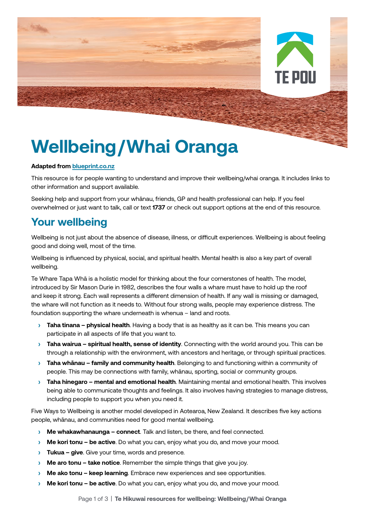# **Wellbeing/Whai Oranga**

#### **Adapted from [blueprint.co.nz](http://blueprint.co.nz)**

This resource is for people wanting to understand and improve their wellbeing/whai oranga. It includes links to other information and support available.

E PNU

Seeking help and support from your whānau, friends, GP and health professional can help. If you feel overwhelmed or just want to talk, call or text **1737** or check out support options at the end of this resource.

### **Your wellbeing**

Wellbeing is not just about the absence of disease, illness, or difficult experiences. Wellbeing is about feeling good and doing well, most of the time.

Wellbeing is influenced by physical, social, and spiritual health. Mental health is also a key part of overall wellbeing.

Te Whare Tapa Whā is a holistic model for thinking about the four cornerstones of health. The model, introduced by Sir Mason Durie in 1982, describes the four walls a whare must have to hold up the roof and keep it strong. Each wall represents a different dimension of health. If any wall is missing or damaged, the whare will not function as it needs to. Without four strong walls, people may experience distress. The foundation supporting the whare underneath is whenua – land and roots.

- **› Taha tinana physical health**. Having a body that is as healthy as it can be. This means you can participate in all aspects of life that you want to.
- **› Taha wairua spiritual health, sense of identity**. Connecting with the world around you. This can be through a relationship with the environment, with ancestors and heritage, or through spiritual practices.
- **› Taha whānau family and community health**. Belonging to and functioning within a community of people. This may be connections with family, whānau, sporting, social or community groups.
- **› Taha hinegaro mental and emotional health**. Maintaining mental and emotional health. This involves being able to communicate thoughts and feelings. It also involves having strategies to manage distress, including people to support you when you need it.

Five Ways to Wellbeing is another model developed in Aotearoa, New Zealand. It describes five key actions people, whānau, and communities need for good mental wellbeing.

- **› Me whakawhanaunga connect**. Talk and listen, be there, and feel connected.
- **› Me kori tonu be active**. Do what you can, enjoy what you do, and move your mood.
- **› Tukua give**. Give your time, words and presence.
- **Me aro tonu take notice**. Remember the simple things that give you joy.
- **› Me ako tonu keep learning**. Embrace new experiences and see opportunities.
- **Me kori tonu be active**. Do what you can, enjoy what you do, and move your mood.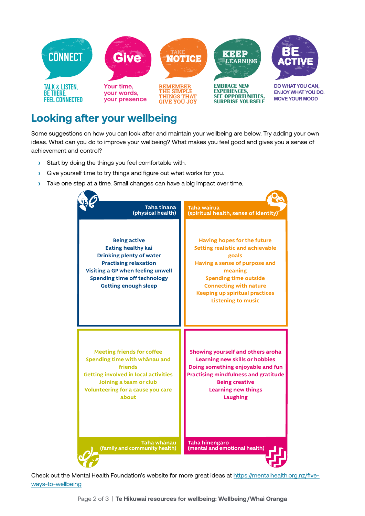

### **Looking after your wellbeing**

Some suggestions on how you can look after and maintain your wellbeing are below. Try adding your own ideas. What can you do to improve your wellbeing? What makes you feel good and gives you a sense of achievement and control?

- **›** Start by doing the things you feel comfortable with.
- **›** Give yourself time to try things and figure out what works for you.
- **›** Take one step at a time. Small changes can have a big impact over time.



Check out the Mental Health Foundation's website for more great ideas at [https://mentalhealth.org.nz/five](https://mentalhealth.org.nz/five-ways-to-wellbeing)[ways-to-wellbeing](https://mentalhealth.org.nz/five-ways-to-wellbeing)